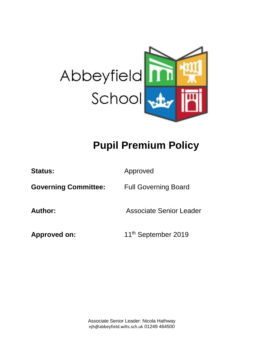

# **Pupil Premium Policy**

| <b>Status:</b>              | Approved                        |
|-----------------------------|---------------------------------|
| <b>Governing Committee:</b> | <b>Full Governing Board</b>     |
| Author:                     | <b>Associate Senior Leader</b>  |
| Approved on:                | 11 <sup>th</sup> September 2019 |

Associate Senior Leader: Nicola Hathway njh@abbeyfield.wilts.sch.uk 01249 464500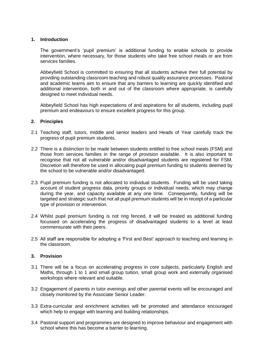## **1. Introduction**

The government's 'pupil premium' is additional funding to enable schools to provide intervention, where necessary, for those students who take free school meals or are from services families.

Abbeyfield School is committed to ensuring that all students achieve their full potential by providing outstanding classroom teaching and robust quality assurance processes. Pastoral and academic teams aim to ensure that any barriers to learning are quickly identified and additional intervention, both in and out of the classroom where appropriate, is carefully designed to meet individual needs.

Abbeyfield School has high expectations of and aspirations for all students, including pupil premium and endeavours to ensure excellent progress for this group.

### **2. Principles**

- 2.1 Teaching staff, tutors, middle and senior leaders and Heads of Year carefully track the progress of pupil premium students.
- 2.2 There is a distinction to be made between students entitled to free school meals (FSM) and those from services families in the range of provision available. It is also important to recognise that not all vulnerable and/or disadvantaged students are registered for FSM. Discretion will therefore be used in allocating pupil premium funding to students deemed by the school to be vulnerable and/or disadvantaged.
- 2.3 Pupil premium funding is not allocated to individual students. Funding will be used taking account of student progress data, priority groups or individual needs, which may change during the year, and capacity available at any one time. Consequently, funding will be targeted and strategic such that not all pupil premium students will be in receipt of a particular type of provision or intervention.
- 2.4 Whilst pupil premium funding is not ring fenced, it will be treated as additional funding focussed on accelerating the progress of disadvantaged students to a level at least commensurate with their peers.
- 2.5 All staff are responsible for adopting a 'First and Best' approach to teaching and learning in the classroom.

## **3. Provision**

- 3.1 There will be a focus on accelerating progress in core subjects, particularly English and Maths, through 1 to 1 and small group tuition, small group work and externally organised workshops where relevant and suitable.
- 3.2 Engagement of parents in tutor evenings and other parental events will be encouraged and closely monitored by the Associate Senior Leader.
- 3.3 Extra-curricular and enrichment activities will be promoted and attendance encouraged which help to engage with learning and building relationships.
- 3.4 Pastoral support and programmes are designed to improve behaviour and engagement with school where this has become a barrier to learning.